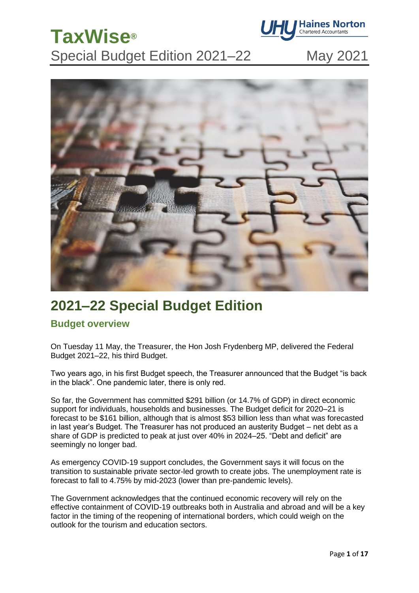

Special Budget Edition 2021–22 May 2021



## **2021–22 Special Budget Edition**

### **Budget overview**

**TaxWise®**

On Tuesday 11 May, the Treasurer, the Hon Josh Frydenberg MP, delivered the Federal Budget 2021–22, his third Budget.

Two years ago, in his first Budget speech, the Treasurer announced that the Budget "is back in the black". One pandemic later, there is only red.

So far, the Government has committed \$291 billion (or 14.7% of GDP) in direct economic support for individuals, households and businesses. The Budget deficit for 2020–21 is forecast to be \$161 billion, although that is almost \$53 billion less than what was forecasted in last year's Budget. The Treasurer has not produced an austerity Budget – net debt as a share of GDP is predicted to peak at just over 40% in 2024–25. "Debt and deficit" are seemingly no longer bad.

As emergency COVID-19 support concludes, the Government says it will focus on the transition to sustainable private sector-led growth to create jobs. The unemployment rate is forecast to fall to 4.75% by mid-2023 (lower than pre-pandemic levels).

The Government acknowledges that the continued economic recovery will rely on the effective containment of COVID-19 outbreaks both in Australia and abroad and will be a key factor in the timing of the reopening of international borders, which could weigh on the outlook for the tourism and education sectors.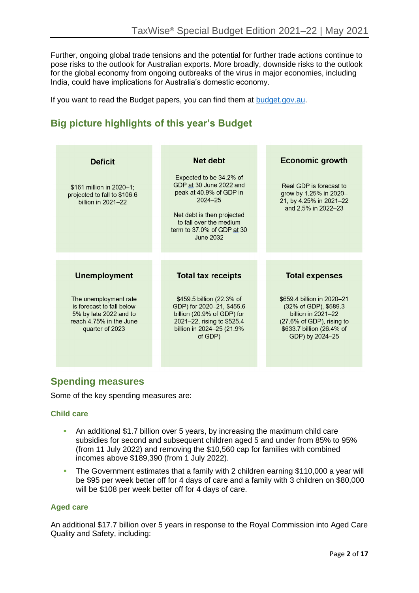Further, ongoing global trade tensions and the potential for further trade actions continue to pose risks to the outlook for Australian exports. More broadly, downside risks to the outlook for the global economy from ongoing outbreaks of the virus in major economies, including India, could have implications for Australia's domestic economy.

If you want to read the Budget papers, you can find them at [budget.gov.au.](https://budget.gov.au/)

## **Big picture highlights of this year's Budget**

| <b>Deficit</b>                                                                 | Net debt                                                                                                                                                                                                | <b>Economic growth</b>                                                                              |
|--------------------------------------------------------------------------------|---------------------------------------------------------------------------------------------------------------------------------------------------------------------------------------------------------|-----------------------------------------------------------------------------------------------------|
| \$161 million in 2020-1;<br>projected to fall to \$106.6<br>billion in 2021-22 | Expected to be 34.2% of<br>GDP at 30 June 2022 and<br>peak at 40.9% of GDP in<br>$2024 - 25$<br>Net debt is then projected<br>to fall over the medium<br>term to 37.0% of GDP at 30<br><b>June 2032</b> | Real GDP is forecast to<br>grow by 1.25% in 2020-<br>21, by 4.25% in 2021-22<br>and 2.5% in 2022-23 |
|                                                                                |                                                                                                                                                                                                         |                                                                                                     |
|                                                                                |                                                                                                                                                                                                         |                                                                                                     |
| <b>Unemployment</b>                                                            | <b>Total tax receipts</b>                                                                                                                                                                               | <b>Total expenses</b>                                                                               |

### **Spending measures**

Some of the key spending measures are:

#### **Child care**

- **EXTER An additional \$1.7 billion over 5 years, by increasing the maximum child care** subsidies for second and subsequent children aged 5 and under from 85% to 95% (from 11 July 2022) and removing the \$10,560 cap for families with combined incomes above \$189,390 (from 1 July 2022).
- **The Government estimates that a family with 2 children earning \$110,000 a year will** be \$95 per week better off for 4 days of care and a family with 3 children on \$80,000 will be \$108 per week better off for 4 days of care.

#### **Aged care**

An additional \$17.7 billion over 5 years in response to the Royal Commission into Aged Care Quality and Safety, including: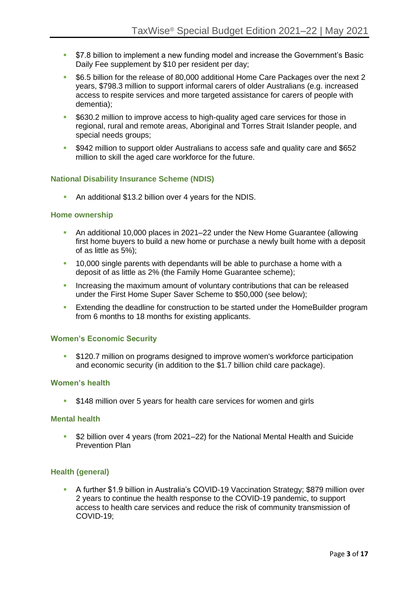- \$7.8 billion to implement a new funding model and increase the Government's Basic Daily Fee supplement by \$10 per resident per day;
- \$6.5 billion for the release of 80,000 additional Home Care Packages over the next 2 years, \$798.3 million to support informal carers of older Australians (e.g. increased access to respite services and more targeted assistance for carers of people with dementia);
- \$630.2 million to improve access to high-quality aged care services for those in regional, rural and remote areas, Aboriginal and Torres Strait Islander people, and special needs groups;
- \$942 million to support older Australians to access safe and quality care and \$652 million to skill the aged care workforce for the future.

#### **National Disability Insurance Scheme (NDIS)**

▪ An additional \$13.2 billion over 4 years for the NDIS.

#### **Home ownership**

- **An additional 10,000 places in 2021–22 under the New Home Guarantee (allowing** first home buyers to build a new home or purchase a newly built home with a deposit of as little as 5%);
- 10,000 single parents with dependants will be able to purchase a home with a deposit of as little as 2% (the Family Home Guarantee scheme);
- **EXEDENTIFY Increasing the maximum amount of voluntary contributions that can be released** under the First Home Super Saver Scheme to \$50,000 (see below);
- **Extending the deadline for construction to be started under the HomeBuilder program** from 6 months to 18 months for existing applicants.

#### **Women's Economic Security**

\$120.7 million on programs designed to improve women's workforce participation and economic security (in addition to the \$1.7 billion child care package).

#### **Women's health**

**•** \$148 million over 5 years for health care services for women and girls

#### **Mental health**

▪ \$2 billion over 4 years (from 2021–22) for the National Mental Health and Suicide Prevention Plan

#### **Health (general)**

▪ A further \$1.9 billion in Australia's COVID-19 Vaccination Strategy; \$879 million over 2 years to continue the health response to the COVID-19 pandemic, to support access to health care services and reduce the risk of community transmission of COVID-19;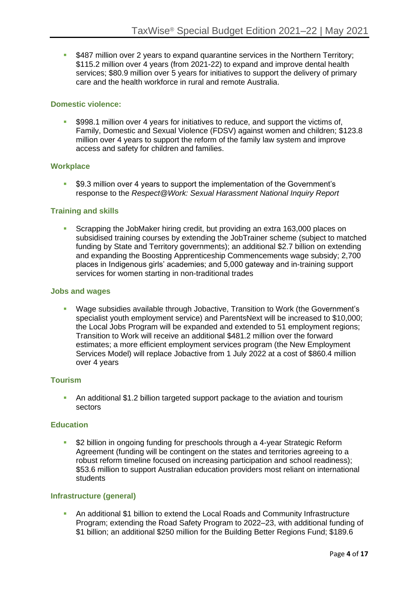▪ \$487 million over 2 years to expand quarantine services in the Northern Territory; \$115.2 million over 4 years (from 2021-22) to expand and improve dental health services; \$80.9 million over 5 years for initiatives to support the delivery of primary care and the health workforce in rural and remote Australia.

#### **Domestic violence:**

\$998.1 million over 4 years for initiatives to reduce, and support the victims of, Family, Domestic and Sexual Violence (FDSV) against women and children; \$123.8 million over 4 years to support the reform of the family law system and improve access and safety for children and families.

#### **Workplace**

\$9.3 million over 4 years to support the implementation of the Government's response to the *Respect@Work: Sexual Harassment National Inquiry Report*

#### **Training and skills**

Scrapping the JobMaker hiring credit, but providing an extra 163,000 places on subsidised training courses by extending the JobTrainer scheme (subject to matched funding by State and Territory governments); an additional \$2.7 billion on extending and expanding the Boosting Apprenticeship Commencements wage subsidy; 2,700 places in Indigenous girls' academies; and 5,000 gateway and in-training support services for women starting in non-traditional trades

#### **Jobs and wages**

Wage subsidies available through Jobactive, Transition to Work (the Government's specialist youth employment service) and ParentsNext will be increased to \$10,000; the Local Jobs Program will be expanded and extended to 51 employment regions; Transition to Work will receive an additional \$481.2 million over the forward estimates; a more efficient employment services program (the New Employment Services Model) will replace Jobactive from 1 July 2022 at a cost of \$860.4 million over 4 years

#### **Tourism**

An additional \$1.2 billion targeted support package to the aviation and tourism sectors

#### **Education**

\$2 billion in ongoing funding for preschools through a 4-year Strategic Reform Agreement (funding will be contingent on the states and territories agreeing to a robust reform timeline focused on increasing participation and school readiness); \$53.6 million to support Australian education providers most reliant on international students

#### **Infrastructure (general)**

An additional \$1 billion to extend the Local Roads and Community Infrastructure Program; extending the Road Safety Program to 2022–23, with additional funding of \$1 billion; an additional \$250 million for the Building Better Regions Fund; \$189.6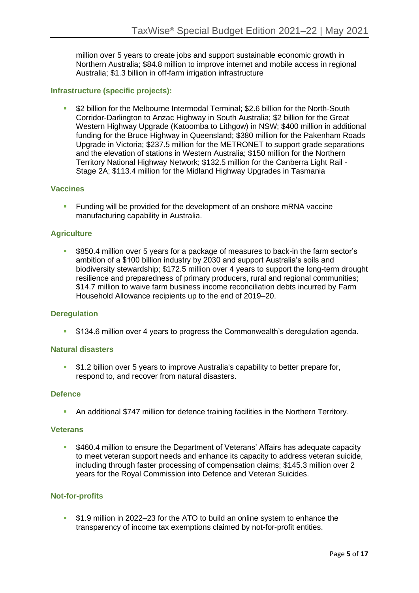million over 5 years to create jobs and support sustainable economic growth in Northern Australia; \$84.8 million to improve internet and mobile access in regional Australia; \$1.3 billion in off-farm irrigation infrastructure

#### **Infrastructure (specific projects):**

\$2 billion for the Melbourne Intermodal Terminal; \$2.6 billion for the North-South Corridor-Darlington to Anzac Highway in South Australia; \$2 billion for the Great Western Highway Upgrade (Katoomba to Lithgow) in NSW; \$400 million in additional funding for the Bruce Highway in Queensland; \$380 million for the Pakenham Roads Upgrade in Victoria; \$237.5 million for the METRONET to support grade separations and the elevation of stations in Western Australia; \$150 million for the Northern Territory National Highway Network; \$132.5 million for the Canberra Light Rail - Stage 2A; \$113.4 million for the Midland Highway Upgrades in Tasmania

#### **Vaccines**

**EXECT** Funding will be provided for the development of an onshore mRNA vaccine manufacturing capability in Australia.

#### **Agriculture**

\$850.4 million over 5 years for a package of measures to back-in the farm sector's ambition of a \$100 billion industry by 2030 and support Australia's soils and biodiversity stewardship; \$172.5 million over 4 years to support the long-term drought resilience and preparedness of primary producers, rural and regional communities; \$14.7 million to waive farm business income reconciliation debts incurred by Farm Household Allowance recipients up to the end of 2019–20.

#### **Deregulation**

▪ \$134.6 million over 4 years to progress the Commonwealth's deregulation agenda.

#### **Natural disasters**

**•** \$1.2 billion over 5 years to improve Australia's capability to better prepare for, respond to, and recover from natural disasters.

#### **Defence**

▪ An additional \$747 million for defence training facilities in the Northern Territory.

#### **Veterans**

\$460.4 million to ensure the Department of Veterans' Affairs has adequate capacity to meet veteran support needs and enhance its capacity to address veteran suicide, including through faster processing of compensation claims; \$145.3 million over 2 years for the Royal Commission into Defence and Veteran Suicides.

#### **Not-for-profits**

▪ \$1.9 million in 2022–23 for the ATO to build an online system to enhance the transparency of income tax exemptions claimed by not-for-profit entities.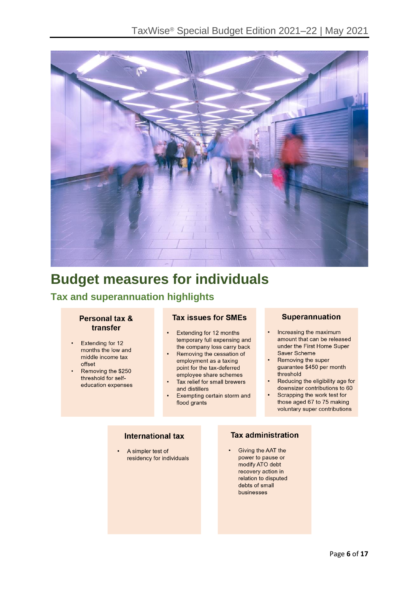

# **Budget measures for individuals**

### **Tax and superannuation highlights**

#### Personal tax & transfer

- Extending for 12 months the low and middle income tax offset
- Removing the \$250 threshold for selfeducation expenses

#### **Tax issues for SMEs**

- Extending for 12 months temporary full expensing and the company loss carry back
- Removing the cessation of employment as a taxing point for the tax-deferred employee share schemes
- Tax relief for small brewers and distillers
- Exempting certain storm and flood grants

#### **Superannuation**

- Increasing the maximum amount that can be released under the First Home Super Saver Scheme
- Removing the super guarantee \$450 per month threshold
- Reducing the eligibility age for downsizer contributions to 60
- Scrapping the work test for those aged 67 to 75 making voluntary super contributions

#### **International tax**

A simpler test of residency for individuals

#### **Tax administration**

Giving the AAT the power to pause or modify ATO debt recovery action in relation to disputed debts of small businesses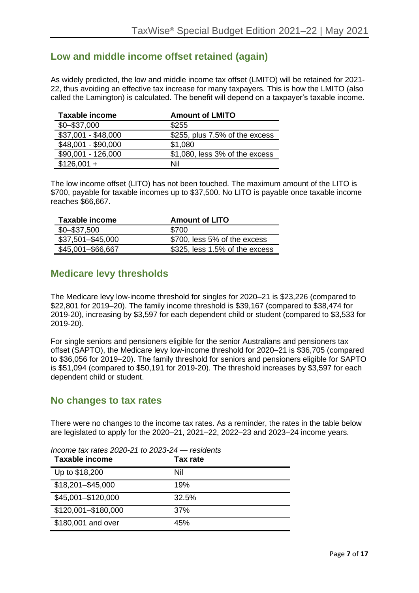### **Low and middle income offset retained (again)**

As widely predicted, the low and middle income tax offset (LMITO) will be retained for 2021- 22, thus avoiding an effective tax increase for many taxpayers. This is how the LMITO (also called the Lamington) is calculated. The benefit will depend on a taxpayer's taxable income.

| <b>Taxable income</b> | <b>Amount of LMITO</b>         |
|-----------------------|--------------------------------|
| $$0 - $37,000$        | \$255                          |
| \$37,001 - \$48,000   | \$255, plus 7.5% of the excess |
| \$48,001 - \$90,000   | \$1,080                        |
| \$90,001 - 126,000    | \$1,080, less 3% of the excess |
| $$126,001 +$          | Nil                            |

The low income offset (LITO) has not been touched. The maximum amount of the LITO is \$700, payable for taxable incomes up to \$37,500. No LITO is payable once taxable income reaches \$66,667.

| Taxable income    | <b>Amount of LITO</b>          |
|-------------------|--------------------------------|
| $$0 - $37,500$    | \$700                          |
| \$37,501-\$45,000 | \$700, less 5% of the excess   |
| \$45,001-\$66,667 | \$325, less 1.5% of the excess |

### **Medicare levy thresholds**

The Medicare levy low-income threshold for singles for 2020–21 is \$23,226 (compared to \$22,801 for 2019–20). The family income threshold is \$39,167 (compared to \$38,474 for 2019-20), increasing by \$3,597 for each dependent child or student (compared to \$3,533 for 2019-20).

For single seniors and pensioners eligible for the senior Australians and pensioners tax offset (SAPTO), the Medicare levy low-income threshold for 2020–21 is \$36,705 (compared to \$36,056 for 2019–20). The family threshold for seniors and pensioners eligible for SAPTO is \$51,094 (compared to \$50,191 for 2019-20). The threshold increases by \$3,597 for each dependent child or student.

### **No changes to tax rates**

There were no changes to the income tax rates. As a reminder, the rates in the table below are legislated to apply for the 2020–21, 2021–22, 2022–23 and 2023–24 income years.

| Taxable income      | <b>Tax rate</b> |
|---------------------|-----------------|
| Up to \$18,200      | Nil             |
| \$18,201-\$45,000   | 19%             |
| \$45,001-\$120,000  | 32.5%           |
| \$120,001-\$180,000 | 37%             |
| \$180,001 and over  | 45%             |

*Income tax rates 2020-21 to 2023-24 — residents*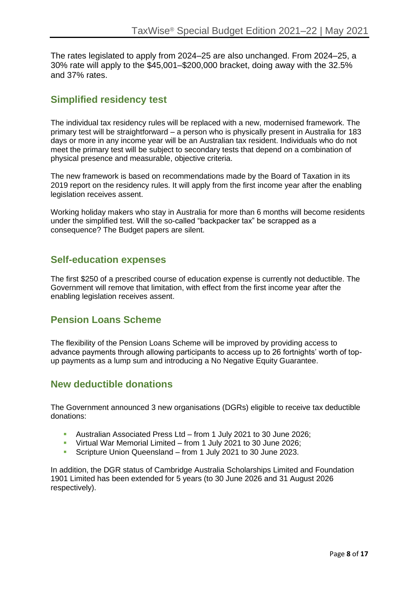The rates legislated to apply from 2024–25 are also unchanged. From 2024–25, a 30% rate will apply to the \$45,001–\$200,000 bracket, doing away with the 32.5% and 37% rates.

### **Simplified residency test**

The individual tax residency rules will be replaced with a new, modernised framework. The primary test will be straightforward – a person who is physically present in Australia for 183 days or more in any income year will be an Australian tax resident. Individuals who do not meet the primary test will be subject to secondary tests that depend on a combination of physical presence and measurable, objective criteria.

The new framework is based on recommendations made by the Board of Taxation in its 2019 report on the residency rules. It will apply from the first income year after the enabling legislation receives assent.

Working holiday makers who stay in Australia for more than 6 months will become residents under the simplified test. Will the so-called "backpacker tax" be scrapped as a consequence? The Budget papers are silent.

### **Self-education expenses**

The first \$250 of a prescribed course of education expense is currently not deductible. The Government will remove that limitation, with effect from the first income year after the enabling legislation receives assent.

### **Pension Loans Scheme**

The flexibility of the Pension Loans Scheme will be improved by providing access to advance payments through allowing participants to access up to 26 fortnights' worth of topup payments as a lump sum and introducing a No Negative Equity Guarantee.

### **New deductible donations**

The Government announced 3 new organisations (DGRs) eligible to receive tax deductible donations:

- Australian Associated Press Ltd from 1 July 2021 to 30 June 2026;
- Virtual War Memorial Limited from 1 July 2021 to 30 June 2026;
- Scripture Union Queensland from 1 July 2021 to 30 June 2023.

In addition, the DGR status of Cambridge Australia Scholarships Limited and Foundation 1901 Limited has been extended for 5 years (to 30 June 2026 and 31 August 2026 respectively).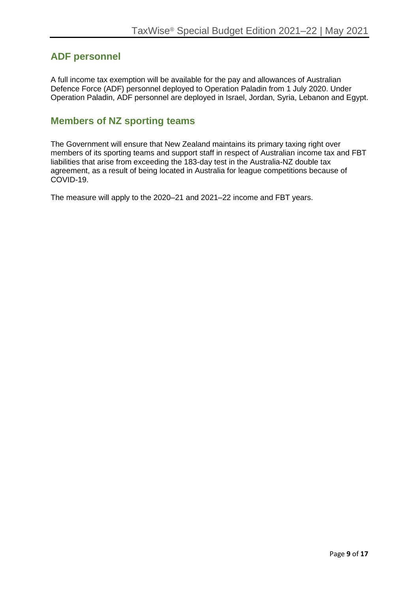### **ADF personnel**

A full income tax exemption will be available for the pay and allowances of Australian Defence Force (ADF) personnel deployed to Operation Paladin from 1 July 2020. Under Operation Paladin, ADF personnel are deployed in Israel, Jordan, Syria, Lebanon and Egypt.

### **Members of NZ sporting teams**

The Government will ensure that New Zealand maintains its primary taxing right over members of its sporting teams and support staff in respect of Australian income tax and FBT liabilities that arise from exceeding the 183-day test in the Australia-NZ double tax agreement, as a result of being located in Australia for league competitions because of COVID-19.

The measure will apply to the 2020–21 and 2021–22 income and FBT years.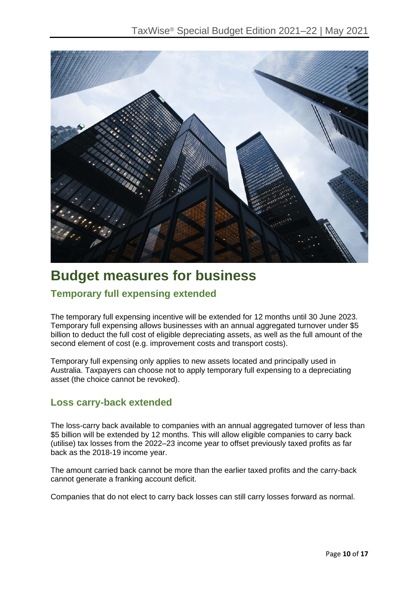

## **Budget measures for business**

### **Temporary full expensing extended**

The temporary full expensing incentive will be extended for 12 months until 30 June 2023. Temporary full expensing allows businesses with an annual aggregated turnover under \$5 billion to deduct the full cost of eligible depreciating assets, as well as the full amount of the second element of cost (e.g. improvement costs and transport costs).

Temporary full expensing only applies to new assets located and principally used in Australia. Taxpayers can choose not to apply temporary full expensing to a depreciating asset (the choice cannot be revoked).

### **Loss carry-back extended**

The loss-carry back available to companies with an annual aggregated turnover of less than \$5 billion will be extended by 12 months. This will allow eligible companies to carry back (utilise) tax losses from the 2022–23 income year to offset previously taxed profits as far back as the 2018-19 income year.

The amount carried back cannot be more than the earlier taxed profits and the carry-back cannot generate a franking account deficit.

Companies that do not elect to carry back losses can still carry losses forward as normal.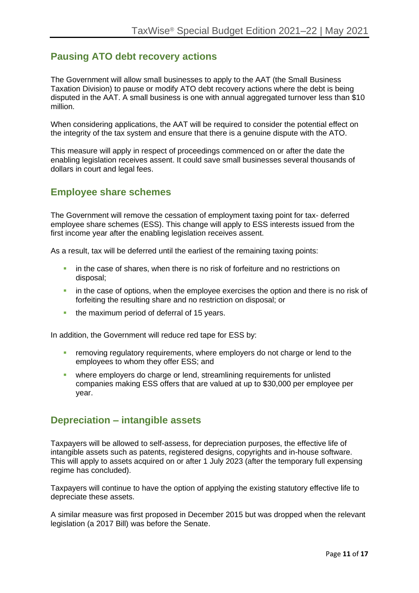### **Pausing ATO debt recovery actions**

The Government will allow small businesses to apply to the AAT (the Small Business Taxation Division) to pause or modify ATO debt recovery actions where the debt is being disputed in the AAT. A small business is one with annual aggregated turnover less than \$10 million.

When considering applications, the AAT will be required to consider the potential effect on the integrity of the tax system and ensure that there is a genuine dispute with the ATO.

This measure will apply in respect of proceedings commenced on or after the date the enabling legislation receives assent. It could save small businesses several thousands of dollars in court and legal fees.

### **Employee share schemes**

The Government will remove the cessation of employment taxing point for tax- deferred employee share schemes (ESS). This change will apply to ESS interests issued from the first income year after the enabling legislation receives assent.

As a result, tax will be deferred until the earliest of the remaining taxing points:

- **•** in the case of shares, when there is no risk of forfeiture and no restrictions on disposal;
- **•** in the case of options, when the employee exercises the option and there is no risk of forfeiting the resulting share and no restriction on disposal; or
- **•** the maximum period of deferral of 15 years.

In addition, the Government will reduce red tape for ESS by:

- **EXECT** removing regulatory requirements, where employers do not charge or lend to the employees to whom they offer ESS; and
- where employers do charge or lend, streamlining requirements for unlisted companies making ESS offers that are valued at up to \$30,000 per employee per year.

### **Depreciation – intangible assets**

Taxpayers will be allowed to self-assess, for depreciation purposes, the effective life of intangible assets such as patents, registered designs, copyrights and in-house software. This will apply to assets acquired on or after 1 July 2023 (after the temporary full expensing regime has concluded).

Taxpayers will continue to have the option of applying the existing statutory effective life to depreciate these assets.

A similar measure was first proposed in December 2015 but was dropped when the relevant legislation (a 2017 Bill) was before the Senate.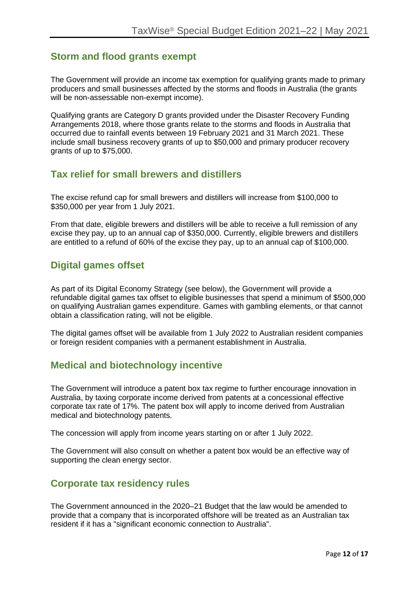### **Storm and flood grants exempt**

The Government will provide an income tax exemption for qualifying grants made to primary producers and small businesses affected by the storms and floods in Australia (the grants will be non-assessable non-exempt income).

Qualifying grants are Category D grants provided under the Disaster Recovery Funding Arrangements 2018, where those grants relate to the storms and floods in Australia that occurred due to rainfall events between 19 February 2021 and 31 March 2021. These include small business recovery grants of up to \$50,000 and primary producer recovery grants of up to \$75,000.

### **Tax relief for small brewers and distillers**

The excise refund cap for small brewers and distillers will increase from \$100,000 to \$350,000 per year from 1 July 2021.

From that date, eligible brewers and distillers will be able to receive a full remission of any excise they pay, up to an annual cap of \$350,000. Currently, eligible brewers and distillers are entitled to a refund of 60% of the excise they pay, up to an annual cap of \$100,000.

### **Digital games offset**

As part of its Digital Economy Strategy (see below), the Government will provide a refundable digital games tax offset to eligible businesses that spend a minimum of \$500,000 on qualifying Australian games expenditure. Games with gambling elements, or that cannot obtain a classification rating, will not be eligible.

The digital games offset will be available from 1 July 2022 to Australian resident companies or foreign resident companies with a permanent establishment in Australia.

### **Medical and biotechnology incentive**

The Government will introduce a patent box tax regime to further encourage innovation in Australia, by taxing corporate income derived from patents at a concessional effective corporate tax rate of 17%. The patent box will apply to income derived from Australian medical and biotechnology patents.

The concession will apply from income years starting on or after 1 July 2022.

The Government will also consult on whether a patent box would be an effective way of supporting the clean energy sector.

### **Corporate tax residency rules**

The Government announced in the 2020–21 Budget that the law would be amended to provide that a company that is incorporated offshore will be treated as an Australian tax resident if it has a "significant economic connection to Australia".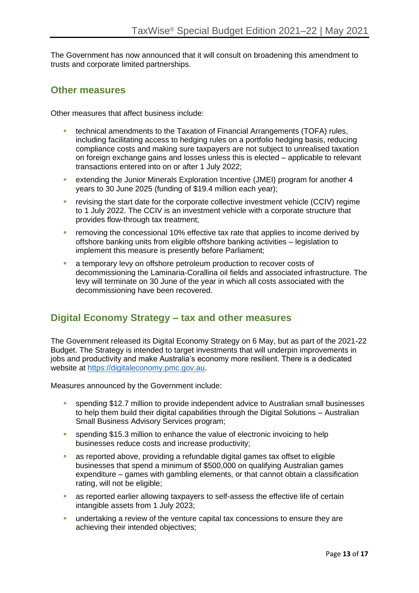The Government has now announced that it will consult on broadening this amendment to trusts and corporate limited partnerships.

### **Other measures**

Other measures that affect business include:

- **technical amendments to the Taxation of Financial Arrangements (TOFA) rules,** including facilitating access to hedging rules on a portfolio hedging basis, reducing compliance costs and making sure taxpayers are not subject to unrealised taxation on foreign exchange gains and losses unless this is elected – applicable to relevant transactions entered into on or after 1 July 2022;
- extending the Junior Minerals Exploration Incentive (JMEI) program for another 4 years to 30 June 2025 (funding of \$19.4 million each year);
- **EXECT** revising the start date for the corporate collective investment vehicle (CCIV) regime to 1 July 2022. The CCIV is an investment vehicle with a corporate structure that provides flow-through tax treatment;
- **E** removing the concessional 10% effective tax rate that applies to income derived by offshore banking units from eligible offshore banking activities – legislation to implement this measure is presently before Parliament;
- **EXECT** a temporary levy on offshore petroleum production to recover costs of decommissioning the Laminaria-Corallina oil fields and associated infrastructure. The levy will terminate on 30 June of the year in which all costs associated with the decommissioning have been recovered.

### **Digital Economy Strategy – tax and other measures**

The Government released its Digital Economy Strategy on 6 May, but as part of the 2021-22 Budget. The Strategy is intended to target investments that will underpin improvements in jobs and productivity and make Australia's economy more resilient. There is a dedicated website at [https://digitaleconomy.pmc.gov.au.](https://digitaleconomy.pmc.gov.au/)

Measures announced by the Government include:

- spending \$12.7 million to provide independent advice to Australian small businesses to help them build their digital capabilities through the Digital Solutions – Australian Small Business Advisory Services program;
- **•** spending \$15.3 million to enhance the value of electronic invoicing to help businesses reduce costs and increase productivity;
- as reported above, providing a refundable digital games tax offset to eligible businesses that spend a minimum of \$500,000 on qualifying Australian games expenditure – games with gambling elements, or that cannot obtain a classification rating, will not be eligible;
- as reported earlier allowing taxpayers to self-assess the effective life of certain intangible assets from 1 July 2023;
- **EXED 10 undertaking a review of the venture capital tax concessions to ensure they are** achieving their intended objectives;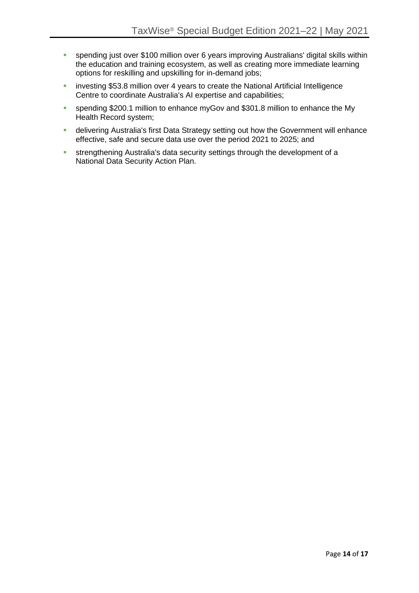- **•** spending just over \$100 million over 6 years improving Australians' digital skills within the education and training ecosystem, as well as creating more immediate learning options for reskilling and upskilling for in-demand jobs;
- **EXEDENT** investing \$53.8 million over 4 years to create the National Artificial Intelligence Centre to coordinate Australia's AI expertise and capabilities;
- **EXECTE Spending \$200.1 million to enhance myGov and \$301.8 million to enhance the My** Health Record system;
- **■** delivering Australia's first Data Strategy setting out how the Government will enhance effective, safe and secure data use over the period 2021 to 2025; and
- **EXECUTE:** strengthening Australia's data security settings through the development of a National Data Security Action Plan.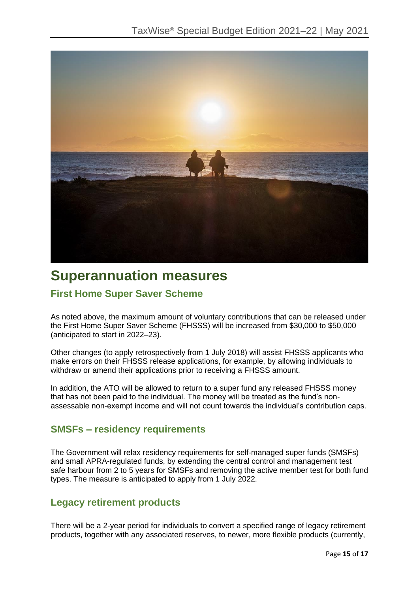

## **Superannuation measures**

### **First Home Super Saver Scheme**

As noted above, the maximum amount of voluntary contributions that can be released under the First Home Super Saver Scheme (FHSSS) will be increased from \$30,000 to \$50,000 (anticipated to start in 2022–23).

Other changes (to apply retrospectively from 1 July 2018) will assist FHSSS applicants who make errors on their FHSSS release applications, for example, by allowing individuals to withdraw or amend their applications prior to receiving a FHSSS amount.

In addition, the ATO will be allowed to return to a super fund any released FHSSS money that has not been paid to the individual. The money will be treated as the fund's nonassessable non-exempt income and will not count towards the individual's contribution caps.

### **SMSFs – residency requirements**

The Government will relax residency requirements for self-managed super funds (SMSFs) and small APRA-regulated funds, by extending the central control and management test safe harbour from 2 to 5 years for SMSFs and removing the active member test for both fund types. The measure is anticipated to apply from 1 July 2022.

### **Legacy retirement products**

There will be a 2-year period for individuals to convert a specified range of legacy retirement products, together with any associated reserves, to newer, more flexible products (currently,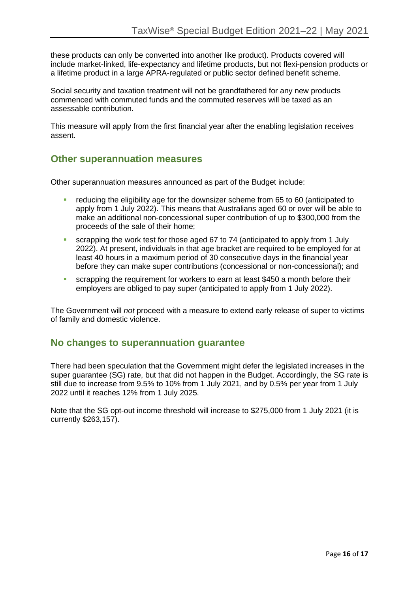these products can only be converted into another like product). Products covered will include market-linked, life-expectancy and lifetime products, but not flexi-pension products or a lifetime product in a large APRA-regulated or public sector defined benefit scheme.

Social security and taxation treatment will not be grandfathered for any new products commenced with commuted funds and the commuted reserves will be taxed as an assessable contribution.

This measure will apply from the first financial year after the enabling legislation receives assent.

### **Other superannuation measures**

Other superannuation measures announced as part of the Budget include:

- reducing the eligibility age for the downsizer scheme from 65 to 60 (anticipated to apply from 1 July 2022). This means that Australians aged 60 or over will be able to make an additional non-concessional super contribution of up to \$300,000 from the proceeds of the sale of their home;
- scrapping the work test for those aged 67 to 74 (anticipated to apply from 1 July 2022). At present, individuals in that age bracket are required to be employed for at least 40 hours in a maximum period of 30 consecutive days in the financial year before they can make super contributions (concessional or non-concessional); and
- **E** scrapping the requirement for workers to earn at least \$450 a month before their employers are obliged to pay super (anticipated to apply from 1 July 2022).

The Government will *not* proceed with a measure to extend early release of super to victims of family and domestic violence.

### **No changes to superannuation guarantee**

There had been speculation that the Government might defer the legislated increases in the super guarantee (SG) rate, but that did not happen in the Budget. Accordingly, the SG rate is still due to increase from 9.5% to 10% from 1 July 2021, and by 0.5% per year from 1 July 2022 until it reaches 12% from 1 July 2025.

Note that the SG opt-out income threshold will increase to \$275,000 from 1 July 2021 (it is currently \$263,157).